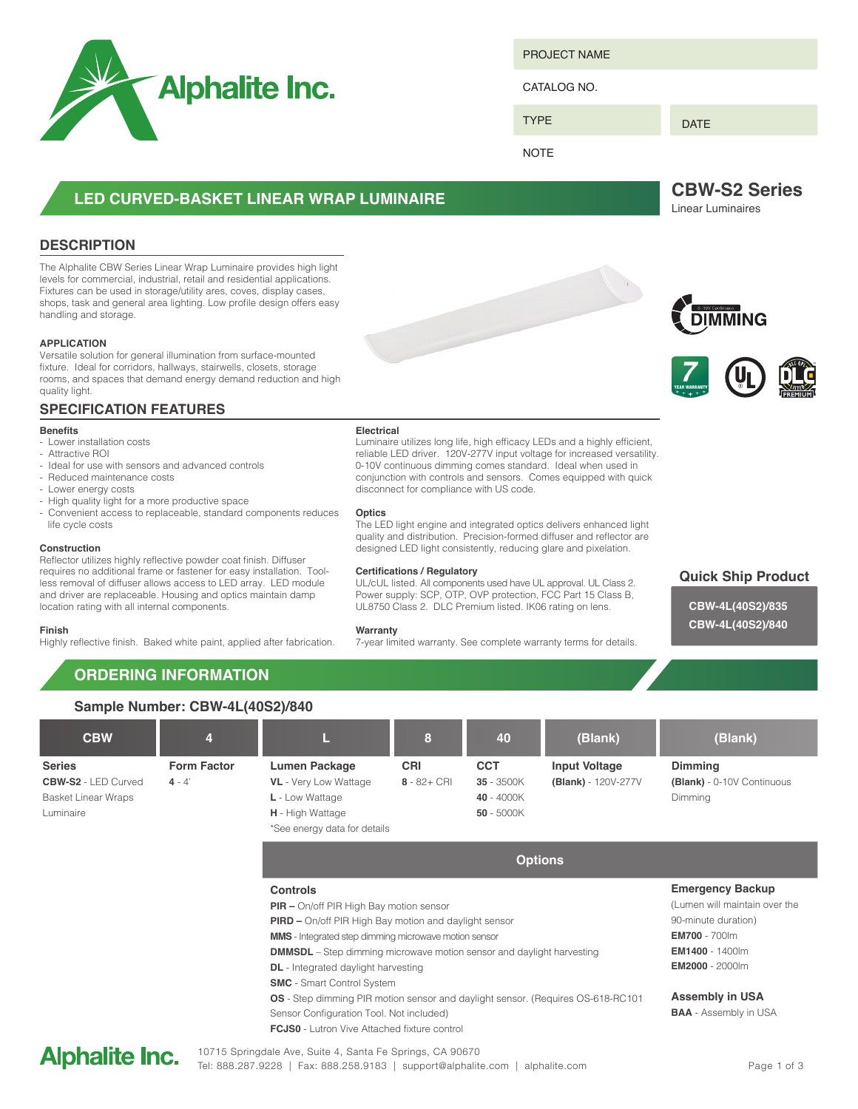

PROJECT NAME

CATALOG NO.

TYPE

DATE

**NOTE** 

# **LED CURVED-BASKET LINEAR WRAP LUMINAIRE**

# **DESCRIPTION**

The Alphalite CBW Series Linear Wrap Luminaire provides high light levels for commercial, industrial, retail and residential applications. Fixtures can be used in storage/utility ares, coves, display cases, shops, task and general area lighting. Low profile design offers easy handling and storage.

## **APPLICATION**

Versatile solution for general illumination from surface-mounted fixture. Ideal for corridors, hallways, stairwells, closets, storage rooms, and spaces that demand energy demand reduction and high quality light.

# **SPECIFICATION FEATURES**

## **Benefits**

- Lower installation costs
- Attractive ROI - Ideal for use with sensors and advanced controls
- Reduced maintenance costs
- Lower energy costs
- High quality light for a more productive space
- Convenient access to replaceable, standard components reduces life cycle costs

### **Construction**

Reflector utilizes highly reflective powder coat finish. Diffuser requires no additional frame or fastener for easy installation. Toolless removal of diffuser allows access to LED array. LED module and driver are replaceable. Housing and optics maintain damp location rating with all internal components.

#### **Finish**

Highly reflective finish. Baked white paint, applied after fabrication.

## **Electrical**

Luminaire utilizes long life, high efficacy LEDs and a highly efficient, reliable LED driver. 120V-277V input voltage for increased versatility. 0-10V continuous dimming comes standard. Ideal when used in conjunction with controls and sensors. Comes equipped with quick disconnect for compliance with US code.

## **Optics**

The LED light engine and integrated optics delivers enhanced light quality and distribution. Precision-formed diffuser and reflector are designed LED light consistently, reducing glare and pixelation.

## **Certifications / Regulatory**

UL/cUL listed. All components used have UL approval. UL Class 2. Power supply: SCP, OTP, OVP protection, FCC Part 15 Class B, UL8750 Class 2. DLC Premium listed. IK06 rating on lens.

## **Warranty**

7-year limited warranty. See complete warranty terms for details.

**DIMMING** 



**CBW-S2 Series** Linear Luminaires



**CBW-4L(40S2)/835 CBW-4L(40S2)/840**

# **ORDERING INFORMATION**

| Sample Number: CBW-4L(40S2)/840                                                        |                                |                                                                                                                                                                                                                                                                                                                                                               |                              |                                                        |                                             |                                                                                                                                                             |  |  |
|----------------------------------------------------------------------------------------|--------------------------------|---------------------------------------------------------------------------------------------------------------------------------------------------------------------------------------------------------------------------------------------------------------------------------------------------------------------------------------------------------------|------------------------------|--------------------------------------------------------|---------------------------------------------|-------------------------------------------------------------------------------------------------------------------------------------------------------------|--|--|
| <b>CBW</b>                                                                             | 4                              | Ш                                                                                                                                                                                                                                                                                                                                                             | 8                            | 40                                                     | (Blank)                                     | (Blank)                                                                                                                                                     |  |  |
| <b>Series</b><br><b>CBW-S2 - LED Curved</b><br><b>Basket Linear Wraps</b><br>Luminaire | <b>Form Factor</b><br>$4 - 4'$ | <b>Lumen Package</b><br><b>VL</b> - Very Low Wattage<br>L - Low Wattage<br><b>H</b> - High Wattage<br>*See energy data for details                                                                                                                                                                                                                            | <b>CRI</b><br>$8 - 82 + CRI$ | <b>CCT</b><br>35 - 3500K<br>40 - 4000K<br>$50 - 5000K$ | <b>Input Voltage</b><br>(Blank) - 120V-277V | Dimming<br>(Blank) - 0-10V Continuous<br>Dimming                                                                                                            |  |  |
|                                                                                        |                                | <b>Options</b>                                                                                                                                                                                                                                                                                                                                                |                              |                                                        |                                             |                                                                                                                                                             |  |  |
|                                                                                        |                                | <b>Controls</b><br><b>PIR</b> - On/off PIR High Bay motion sensor<br>PIRD - On/off PIR High Bay motion and daylight sensor<br><b>MMS</b> - Integrated step dimming microwave motion sensor<br><b>DMMSDL</b> – Step dimming microwave motion sensor and daylight harvesting<br><b>DL</b> - Integrated daylight harvesting<br><b>SMC</b> - Smart Control System |                              |                                                        |                                             | <b>Emergency Backup</b><br>(Lumen will maintain over the<br>90-minute duration)<br><b>EM700</b> - 700lm<br><b>EM1400</b> - 1400lm<br><b>EM2000 - 2000lm</b> |  |  |
|                                                                                        |                                | <b>OS</b> - Step dimming PIR motion sensor and daylight sensor. (Requires OS-618-RC101<br>Sensor Configuration Tool. Not included)<br><b>FCJS0</b> - Lutron Vive Attached fixture control                                                                                                                                                                     |                              |                                                        |                                             | <b>Assembly in USA</b><br><b>BAA</b> - Assembly in USA                                                                                                      |  |  |

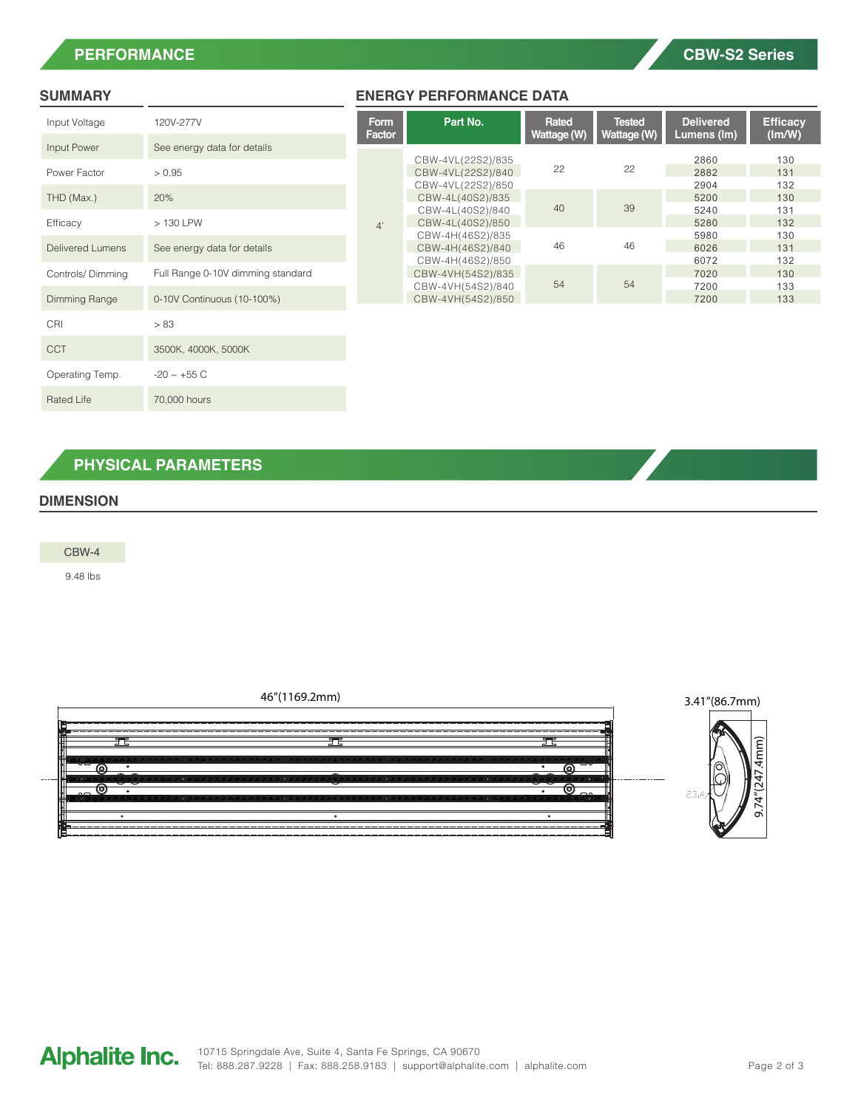# **PERFORMANCE**

| Input Voltage           | 120V-277V                         |  |  |  |  |
|-------------------------|-----------------------------------|--|--|--|--|
| Input Power             | See energy data for details       |  |  |  |  |
| Power Factor            | > 0.95                            |  |  |  |  |
| THD (Max.)              | 20%                               |  |  |  |  |
| Efficacy                | $>130$ LPW                        |  |  |  |  |
| <b>Delivered Lumens</b> | See energy data for details       |  |  |  |  |
| Controls/Dimming        | Full Range 0-10V dimming standard |  |  |  |  |
| Dimming Range           | 0-10V Continuous (10-100%)        |  |  |  |  |
| CRI                     | > 83                              |  |  |  |  |
| CCT                     | 3500K, 4000K, 5000K               |  |  |  |  |
| Operating Temp.         | $-20 \sim +55 C$                  |  |  |  |  |
| <b>Rated Life</b>       | 70,000 hours                      |  |  |  |  |

# **SUMMARY ENERGY PERFORMANCE DATA**

|                | <b>Form</b><br>Factor | Part No.          | Rated<br>Wattage (W) | <b>Tested</b><br>Wattage (W) | <b>Delivered</b><br>Lumens (Im) | <b>Efficacy</b><br>$(\text{Im}/\text{W})$ |
|----------------|-----------------------|-------------------|----------------------|------------------------------|---------------------------------|-------------------------------------------|
| details        |                       |                   |                      |                              |                                 |                                           |
|                |                       | CBW-4VL(22S2)/835 | 22                   | 22                           | 2860                            | 130                                       |
|                |                       | CBW-4VL(22S2)/840 |                      |                              | 2882                            | 131                                       |
|                |                       | CBW-4VL(22S2)/850 |                      |                              | 2904                            | 132                                       |
|                |                       | CBW-4L(40S2)/835  | 40                   | 39                           | 5200                            | 130                                       |
|                |                       | CBW-4L(40S2)/840  |                      |                              | 5240                            | 131                                       |
|                | 4'                    | CBW-4L(40S2)/850  |                      |                              | 5280                            | 132                                       |
|                |                       | CBW-4H(46S2)/835  | 46                   | 46                           | 5980                            | 130                                       |
| details        |                       | CBW-4H(46S2)/840  |                      |                              | 6026                            | 131                                       |
|                |                       | CBW-4H(46S2)/850  |                      |                              | 6072                            | 132                                       |
| iming standard |                       | CBW-4VH(54S2)/835 |                      |                              | 7020                            | 130                                       |
|                |                       | CBW-4VH(54S2)/840 | 54                   | 54                           | 7200                            | 133                                       |
| $-100\%)$      |                       | CBW-4VH(54S2)/850 |                      |                              | 7200                            | 133                                       |

# **PHYSICAL PARAMETERS**

# **DIMENSION**

CBW-4

9.48 lbs